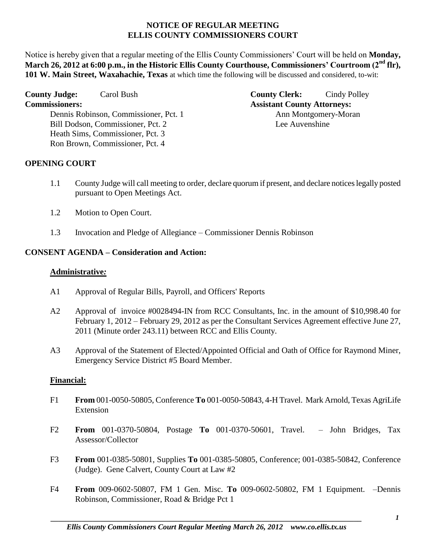#### **NOTICE OF REGULAR MEETING ELLIS COUNTY COMMISSIONERS COURT**

Notice is hereby given that a regular meeting of the Ellis County Commissioners' Court will be held on **Monday, March 26, 2012 at 6:00 p.m., in the Historic Ellis County Courthouse, Commissioners' Courtroom (2nd flr), 101 W. Main Street, Waxahachie, Texas** at which time the following will be discussed and considered, to-wit:

Dennis Robinson, Commissioner, Pct. 1 Ann Montgomery-Moran Bill Dodson, Commissioner, Pct. 2 Lee Auvenshine Heath Sims, Commissioner, Pct. 3 Ron Brown, Commissioner, Pct. 4

**County Judge:** Carol Bush **County Clerk:** Cindy Polley **Commissioners: Assistant County Attorneys:** 

## **OPENING COURT**

- 1.1 County Judge will call meeting to order, declare quorum if present, and declare notices legally posted pursuant to Open Meetings Act.
- 1.2 Motion to Open Court.
- 1.3 Invocation and Pledge of Allegiance Commissioner Dennis Robinson

# **CONSENT AGENDA – Consideration and Action:**

# **Administrative***:*

- A1 Approval of Regular Bills, Payroll, and Officers' Reports
- A2 Approval of invoice #0028494-IN from RCC Consultants, Inc. in the amount of \$10,998.40 for February 1, 2012 – February 29, 2012 as per the Consultant Services Agreement effective June 27, 2011 (Minute order 243.11) between RCC and Ellis County.
- A3 Approval of the Statement of Elected/Appointed Official and Oath of Office for Raymond Miner, Emergency Service District #5 Board Member.

# **Financial:**

- F1 **From** 001-0050-50805, Conference **To** 001-0050-50843, 4-H Travel. Mark Arnold, Texas AgriLife Extension
- F2 **From** 001-0370-50804, Postage **To** 001-0370-50601, Travel. John Bridges, Tax Assessor/Collector
- F3 **From** 001-0385-50801, Supplies **To** 001-0385-50805, Conference; 001-0385-50842, Conference (Judge). Gene Calvert, County Court at Law #2
- F4 **From** 009-0602-50807, FM 1 Gen. Misc. **To** 009-0602-50802, FM 1 Equipment. –Dennis Robinson, Commissioner, Road & Bridge Pct 1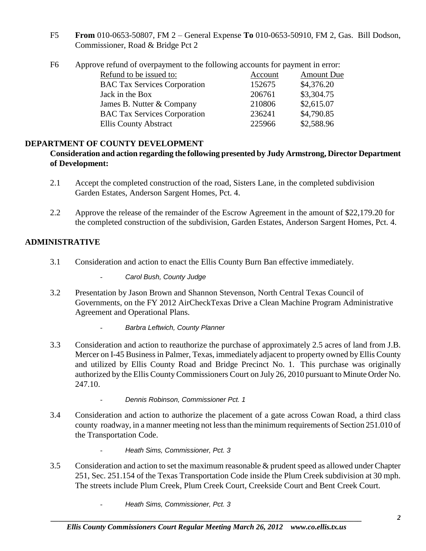F5 **From** 010-0653-50807, FM 2 – General Expense **To** 010-0653-50910, FM 2, Gas. Bill Dodson, Commissioner, Road & Bridge Pct 2

| F6 |  | Approve refund of overpayment to the following accounts for payment in error: |  |
|----|--|-------------------------------------------------------------------------------|--|
|    |  |                                                                               |  |

| Refund to be issued to:             | Account | <b>Amount Due</b> |
|-------------------------------------|---------|-------------------|
| <b>BAC Tax Services Corporation</b> | 152675  | \$4,376.20        |
| Jack in the Box                     | 206761  | \$3,304.75        |
| James B. Nutter & Company           | 210806  | \$2,615.07        |
| <b>BAC Tax Services Corporation</b> | 236241  | \$4,790.85        |
| <b>Ellis County Abstract</b>        | 225966  | \$2,588.96        |
|                                     |         |                   |

## **DEPARTMENT OF COUNTY DEVELOPMENT**

#### **Consideration and action regarding the following presented by Judy Armstrong, Director Department of Development:**

- 2.1 Accept the completed construction of the road, Sisters Lane, in the completed subdivision Garden Estates, Anderson Sargent Homes, Pct. 4.
- 2.2 Approve the release of the remainder of the Escrow Agreement in the amount of \$22,179.20 for the completed construction of the subdivision, Garden Estates, Anderson Sargent Homes, Pct. 4.

## **ADMINISTRATIVE**

- 3.1 Consideration and action to enact the Ellis County Burn Ban effective immediately.
	- *Carol Bush, County Judge*
- 3.2 Presentation by Jason Brown and Shannon Stevenson, North Central Texas Council of Governments, on the FY 2012 AirCheckTexas Drive a Clean Machine Program Administrative Agreement and Operational Plans.
	- *Barbra Leftwich, County Planner*
- 3.3 Consideration and action to reauthorize the purchase of approximately 2.5 acres of land from J.B. Mercer on I-45 Business in Palmer, Texas, immediately adjacent to property owned by Ellis County and utilized by Ellis County Road and Bridge Precinct No. 1. This purchase was originally authorized by the Ellis County Commissioners Court on July 26, 2010 pursuant to Minute Order No. 247.10.
	- *Dennis Robinson, Commissioner Pct. 1*
- 3.4 Consideration and action to authorize the placement of a gate across Cowan Road, a third class county roadway, in a manner meeting not less than the minimum requirements of Section 251.010 of the Transportation Code.
	- *Heath Sims, Commissioner, Pct. 3*
- 3.5 Consideration and action to set the maximum reasonable & prudent speed as allowed under Chapter 251, Sec. 251.154 of the Texas Transportation Code inside the Plum Creek subdivision at 30 mph. The streets include Plum Creek, Plum Creek Court, Creekside Court and Bent Creek Court.
	- *Heath Sims, Commissioner, Pct. 3*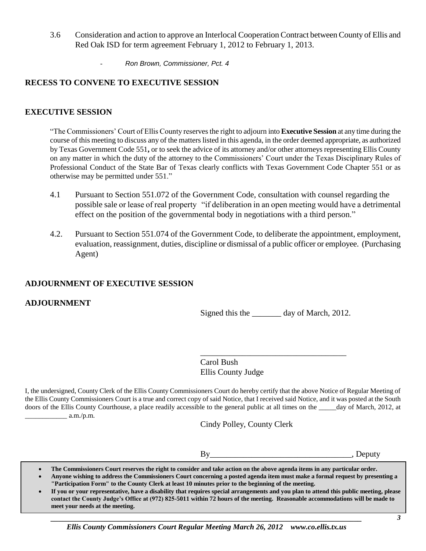- 3.6 Consideration and action to approve an Interlocal Cooperation Contract between County of Ellis and Red Oak ISD for term agreement February 1, 2012 to February 1, 2013.
	- *Ron Brown, Commissioner, Pct. 4*

#### **RECESS TO CONVENE TO EXECUTIVE SESSION**

#### **EXECUTIVE SESSION**

"The Commissioners' Court of Ellis County reserves the right to adjourn into **Executive Session** at any time during the course of this meeting to discuss any of the matters listed in this agenda, in the order deemed appropriate, as authorized by Texas Government Code 551**,** or to seek the advice of its attorney and/or other attorneys representing Ellis County on any matter in which the duty of the attorney to the Commissioners' Court under the Texas Disciplinary Rules of Professional Conduct of the State Bar of Texas clearly conflicts with Texas Government Code Chapter 551 or as otherwise may be permitted under 551."

- 4.1 Pursuant to Section 551.072 of the Government Code, consultation with counsel regarding the possible sale or lease of real property "if deliberation in an open meeting would have a detrimental effect on the position of the governmental body in negotiations with a third person."
- 4.2. Pursuant to Section 551.074 of the Government Code, to deliberate the appointment, employment, evaluation, reassignment, duties, discipline or dismissal of a public officer or employee. (Purchasing Agent)

#### **ADJOURNMENT OF EXECUTIVE SESSION**

#### **ADJOURNMENT**

Signed this the \_\_\_\_\_\_\_\_ day of March, 2012.

\_\_\_\_\_\_\_\_\_\_\_\_\_\_\_\_\_\_\_\_\_\_\_\_\_\_\_\_\_\_\_\_\_\_\_

Carol Bush Ellis County Judge

I, the undersigned, County Clerk of the Ellis County Commissioners Court do hereby certify that the above Notice of Regular Meeting of the Ellis County Commissioners Court is a true and correct copy of said Notice, that I received said Notice, and it was posted at the South doors of the Ellis County Courthouse, a place readily accessible to the general public at all times on the day of March, 2012, at  $a.m./p.m.$ 

Cindy Polley, County Clerk

By By By By Bell,  $B_1$ ,  $D$ eputy

- **The Commissioners Court reserves the right to consider and take action on the above agenda items in any particular order.**
- **Anyone wishing to address the Commissioners Court concerning a posted agenda item must make a formal request by presenting a "Participation Form" to the County Clerk at least 10 minutes prior to the beginning of the meeting.**
- **If you or your representative, have a disability that requires special arrangements and you plan to attend this public meeting, please contact the County Judge's Office at (972) 825-5011 within 72 hours of the meeting. Reasonable accommodations will be made to meet your needs at the meeting.**

*\_\_\_\_\_\_\_\_\_\_\_\_\_\_\_\_\_\_\_\_\_\_\_\_\_\_\_\_\_\_\_\_\_\_\_\_\_\_\_\_\_\_\_\_\_\_\_\_\_\_\_\_\_\_\_\_\_\_\_\_\_\_\_\_\_\_\_\_\_\_\_\_\_\_\_\_\_\_\_\_\_ Ellis County Commissioners Court Regular Meeting March 26, 2012 www.co.ellis.tx.us*